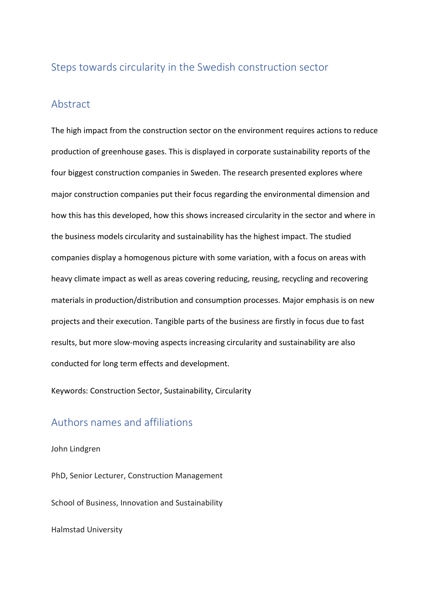# Steps towards circularity in the Swedish construction sector

### Abstract

The high impact from the construction sector on the environment requires actions to reduce production of greenhouse gases. This is displayed in corporate sustainability reports of the four biggest construction companies in Sweden. The research presented explores where major construction companies put their focus regarding the environmental dimension and how this has this developed, how this shows increased circularity in the sector and where in the business models circularity and sustainability has the highest impact. The studied companies display a homogenous picture with some variation, with a focus on areas with heavy climate impact as well as areas covering reducing, reusing, recycling and recovering materials in production/distribution and consumption processes. Major emphasis is on new projects and their execution. Tangible parts of the business are firstly in focus due to fast results, but more slow-moving aspects increasing circularity and sustainability are also conducted for long term effects and development.

Keywords: Construction Sector, Sustainability, Circularity

## Authors names and affiliations

### John Lindgren

PhD, Senior Lecturer, Construction Management School of Business, Innovation and Sustainability Halmstad University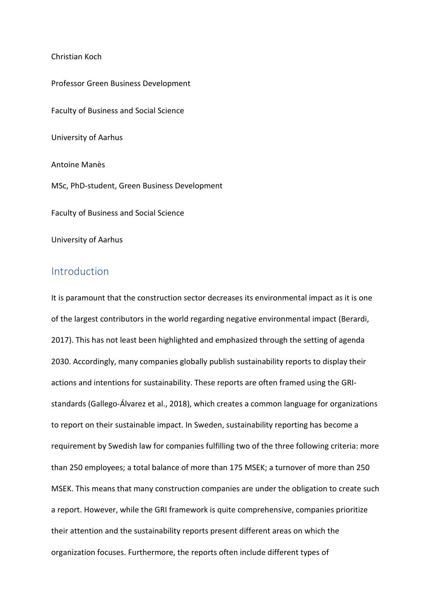### Christian Koch

Professor Green Business Development Faculty of Business and Social Science University of Aarhus Antoine Manès MSc, PhD-student, Green Business Development Faculty of Business and Social Science University of Aarhus

# Introduction

It is paramount that the construction sector decreases its environmental impact as it is one of the largest contributors in the world regarding negative environmental impact (Berardi, 2017). This has not least been highlighted and emphasized through the setting of agenda 2030. Accordingly, many companies globally publish sustainability reports to display their actions and intentions for sustainability. These reports are often framed using the GRIstandards (Gallego-Álvarez et al., 2018), which creates a common language for organizations to report on their sustainable impact. In Sweden, sustainability reporting has become a requirement by Swedish law for companies fulfilling two of the three following criteria: more than 250 employees; a total balance of more than 175 MSEK; a turnover of more than 250 MSEK. This means that many construction companies are under the obligation to create such a report. However, while the GRI framework is quite comprehensive, companies prioritize their attention and the sustainability reports present different areas on which the organization focuses. Furthermore, the reports often include different types of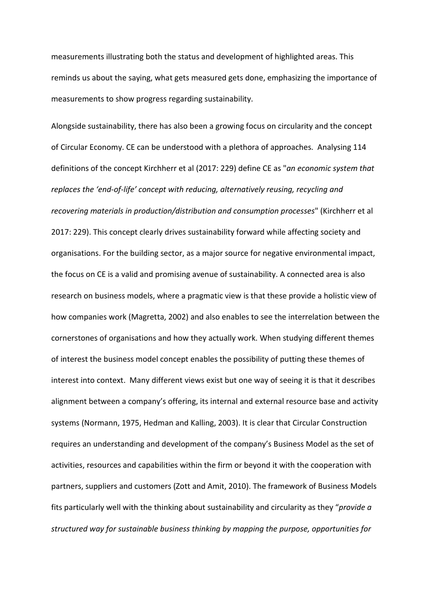measurements illustrating both the status and development of highlighted areas. This reminds us about the saying, what gets measured gets done, emphasizing the importance of measurements to show progress regarding sustainability.

Alongside sustainability, there has also been a growing focus on circularity and the concept of Circular Economy. CE can be understood with a plethora of approaches. Analysing 114 definitions of the concept Kirchherr et al (2017: 229) define CE as "*an economic system that replaces the 'end-of-life' concept with reducing, alternatively reusing, recycling and recovering materials in production/distribution and consumption processes*" (Kirchherr et al 2017: 229). This concept clearly drives sustainability forward while affecting society and organisations. For the building sector, as a major source for negative environmental impact, the focus on CE is a valid and promising avenue of sustainability. A connected area is also research on business models, where a pragmatic view is that these provide a holistic view of how companies work (Magretta, 2002) and also enables to see the interrelation between the cornerstones of organisations and how they actually work. When studying different themes of interest the business model concept enables the possibility of putting these themes of interest into context. Many different views exist but one way of seeing it is that it describes alignment between a company's offering, its internal and external resource base and activity systems (Normann, 1975, Hedman and Kalling, 2003). It is clear that Circular Construction requires an understanding and development of the company's Business Model as the set of activities, resources and capabilities within the firm or beyond it with the cooperation with partners, suppliers and customers (Zott and Amit, 2010). The framework of Business Models fits particularly well with the thinking about sustainability and circularity as they "*provide a structured way for sustainable business thinking by mapping the purpose, opportunities for*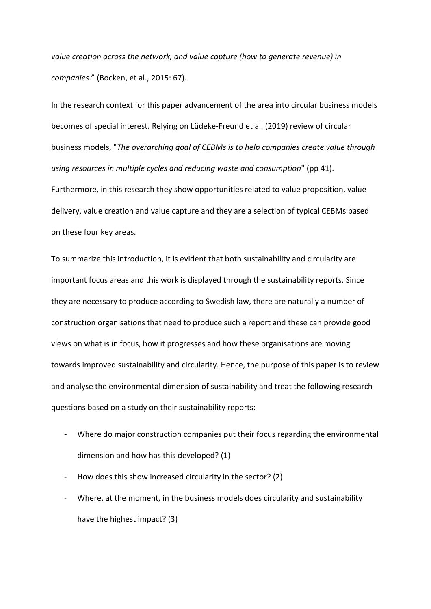*value creation across the network, and value capture (how to generate revenue) in companies*." (Bocken, et al., 2015: 67).

In the research context for this paper advancement of the area into circular business models becomes of special interest. Relying on Lüdeke-Freund et al. (2019) review of circular business models, "*The overarching goal of CEBMs is to help companies create value through using resources in multiple cycles and reducing waste and consumption*" (pp 41). Furthermore, in this research they show opportunities related to value proposition, value delivery, value creation and value capture and they are a selection of typical CEBMs based on these four key areas.

To summarize this introduction, it is evident that both sustainability and circularity are important focus areas and this work is displayed through the sustainability reports. Since they are necessary to produce according to Swedish law, there are naturally a number of construction organisations that need to produce such a report and these can provide good views on what is in focus, how it progresses and how these organisations are moving towards improved sustainability and circularity. Hence, the purpose of this paper is to review and analyse the environmental dimension of sustainability and treat the following research questions based on a study on their sustainability reports:

- Where do major construction companies put their focus regarding the environmental dimension and how has this developed? (1)
- How does this show increased circularity in the sector? (2)
- Where, at the moment, in the business models does circularity and sustainability have the highest impact? (3)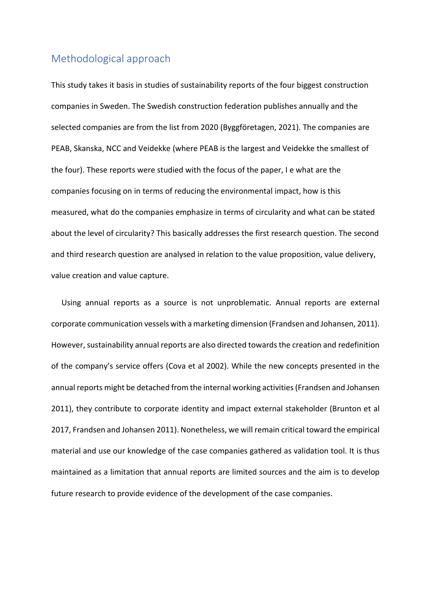# Methodological approach

This study takes it basis in studies of sustainability reports of the four biggest construction companies in Sweden. The Swedish construction federation publishes annually and the selected companies are from the list from 2020 (Byggföretagen, 2021). The companies are PEAB, Skanska, NCC and Veidekke (where PEAB is the largest and Veidekke the smallest of the four). These reports were studied with the focus of the paper, I e what are the companies focusing on in terms of reducing the environmental impact, how is this measured, what do the companies emphasize in terms of circularity and what can be stated about the level of circularity? This basically addresses the first research question. The second and third research question are analysed in relation to the value proposition, value delivery, value creation and value capture.

Using annual reports as a source is not unproblematic. Annual reports are external corporate communication vessels with a marketing dimension (Frandsen and Johansen, 2011). However, sustainability annual reports are also directed towards the creation and redefinition of the company's service offers (Cova et al 2002). While the new concepts presented in the annual reports might be detached from the internal working activities (Frandsen and Johansen 2011), they contribute to corporate identity and impact external stakeholder (Brunton et al 2017, Frandsen and Johansen 2011). Nonetheless, we will remain critical toward the empirical material and use our knowledge of the case companies gathered as validation tool. It is thus maintained as a limitation that annual reports are limited sources and the aim is to develop future research to provide evidence of the development of the case companies.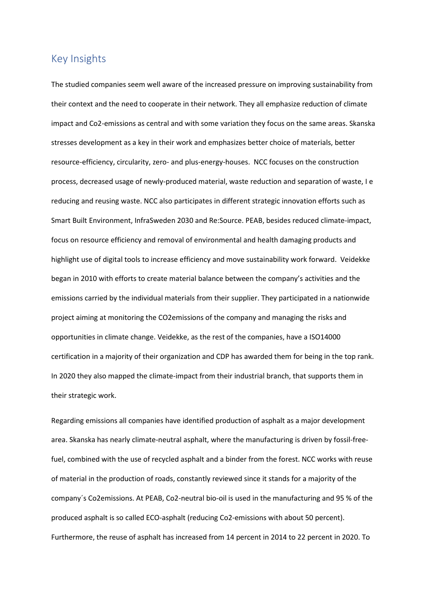## Key Insights

The studied companies seem well aware of the increased pressure on improving sustainability from their context and the need to cooperate in their network. They all emphasize reduction of climate impact and Co2-emissions as central and with some variation they focus on the same areas. Skanska stresses development as a key in their work and emphasizes better choice of materials, better resource-efficiency, circularity, zero- and plus-energy-houses. NCC focuses on the construction process, decreased usage of newly-produced material, waste reduction and separation of waste, I e reducing and reusing waste. NCC also participates in different strategic innovation efforts such as Smart Built Environment, InfraSweden 2030 and Re:Source. PEAB, besides reduced climate-impact, focus on resource efficiency and removal of environmental and health damaging products and highlight use of digital tools to increase efficiency and move sustainability work forward. Veidekke began in 2010 with efforts to create material balance between the company's activities and the emissions carried by the individual materials from their supplier. They participated in a nationwide project aiming at monitoring the CO2emissions of the company and managing the risks and opportunities in climate change. Veidekke, as the rest of the companies, have a ISO14000 certification in a majority of their organization and CDP has awarded them for being in the top rank. In 2020 they also mapped the climate-impact from their industrial branch, that supports them in their strategic work.

Regarding emissions all companies have identified production of asphalt as a major development area. Skanska has nearly climate-neutral asphalt, where the manufacturing is driven by fossil-freefuel, combined with the use of recycled asphalt and a binder from the forest. NCC works with reuse of material in the production of roads, constantly reviewed since it stands for a majority of the company´s Co2emissions. At PEAB, Co2-neutral bio-oil is used in the manufacturing and 95 % of the produced asphalt is so called ECO-asphalt (reducing Co2-emissions with about 50 percent). Furthermore, the reuse of asphalt has increased from 14 percent in 2014 to 22 percent in 2020. To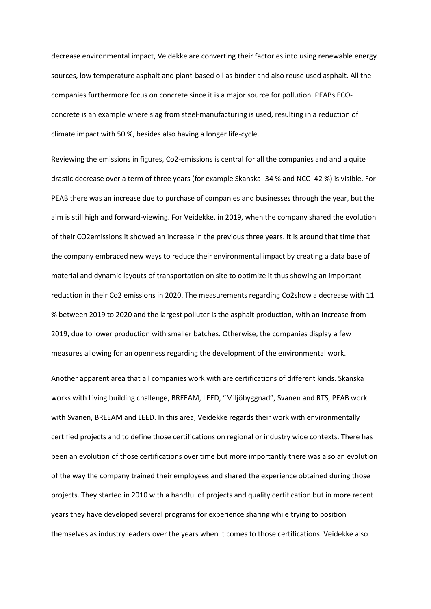decrease environmental impact, Veidekke are converting their factories into using renewable energy sources, low temperature asphalt and plant-based oil as binder and also reuse used asphalt. All the companies furthermore focus on concrete since it is a major source for pollution. PEABs ECOconcrete is an example where slag from steel-manufacturing is used, resulting in a reduction of climate impact with 50 %, besides also having a longer life-cycle.

Reviewing the emissions in figures, Co2-emissions is central for all the companies and and a quite drastic decrease over a term of three years (for example Skanska -34 % and NCC -42 %) is visible. For PEAB there was an increase due to purchase of companies and businesses through the year, but the aim is still high and forward-viewing. For Veidekke, in 2019, when the company shared the evolution of their CO2emissions it showed an increase in the previous three years. It is around that time that the company embraced new ways to reduce their environmental impact by creating a data base of material and dynamic layouts of transportation on site to optimize it thus showing an important reduction in their Co2 emissions in 2020. The measurements regarding Co2show a decrease with 11 % between 2019 to 2020 and the largest polluter is the asphalt production, with an increase from 2019, due to lower production with smaller batches. Otherwise, the companies display a few measures allowing for an openness regarding the development of the environmental work.

Another apparent area that all companies work with are certifications of different kinds. Skanska works with Living building challenge, BREEAM, LEED, "Miljöbyggnad", Svanen and RTS, PEAB work with Svanen, BREEAM and LEED. In this area, Veidekke regards their work with environmentally certified projects and to define those certifications on regional or industry wide contexts. There has been an evolution of those certifications over time but more importantly there was also an evolution of the way the company trained their employees and shared the experience obtained during those projects. They started in 2010 with a handful of projects and quality certification but in more recent years they have developed several programs for experience sharing while trying to position themselves as industry leaders over the years when it comes to those certifications. Veidekke also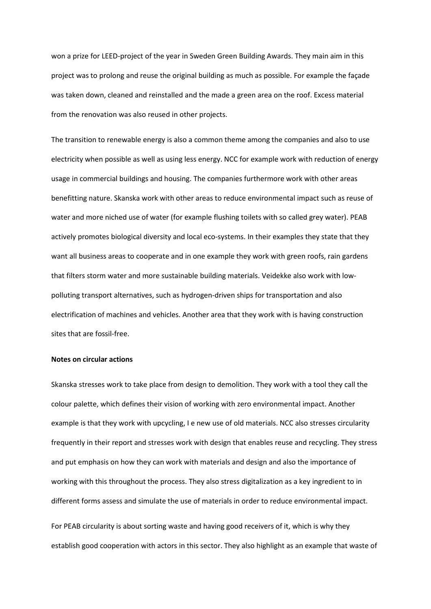won a prize for LEED-project of the year in Sweden Green Building Awards. They main aim in this project was to prolong and reuse the original building as much as possible. For example the façade was taken down, cleaned and reinstalled and the made a green area on the roof. Excess material from the renovation was also reused in other projects.

The transition to renewable energy is also a common theme among the companies and also to use electricity when possible as well as using less energy. NCC for example work with reduction of energy usage in commercial buildings and housing. The companies furthermore work with other areas benefitting nature. Skanska work with other areas to reduce environmental impact such as reuse of water and more niched use of water (for example flushing toilets with so called grey water). PEAB actively promotes biological diversity and local eco-systems. In their examples they state that they want all business areas to cooperate and in one example they work with green roofs, rain gardens that filters storm water and more sustainable building materials. Veidekke also work with lowpolluting transport alternatives, such as hydrogen-driven ships for transportation and also electrification of machines and vehicles. Another area that they work with is having construction sites that are fossil-free.

### **Notes on circular actions**

Skanska stresses work to take place from design to demolition. They work with a tool they call the colour palette, which defines their vision of working with zero environmental impact. Another example is that they work with upcycling, I e new use of old materials. NCC also stresses circularity frequently in their report and stresses work with design that enables reuse and recycling. They stress and put emphasis on how they can work with materials and design and also the importance of working with this throughout the process. They also stress digitalization as a key ingredient to in different forms assess and simulate the use of materials in order to reduce environmental impact.

For PEAB circularity is about sorting waste and having good receivers of it, which is why they establish good cooperation with actors in this sector. They also highlight as an example that waste of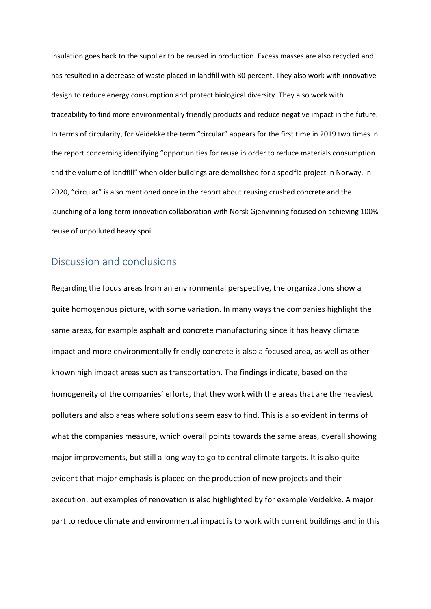insulation goes back to the supplier to be reused in production. Excess masses are also recycled and has resulted in a decrease of waste placed in landfill with 80 percent. They also work with innovative design to reduce energy consumption and protect biological diversity. They also work with traceability to find more environmentally friendly products and reduce negative impact in the future. In terms of circularity, for Veidekke the term "circular" appears for the first time in 2019 two times in the report concerning identifying "opportunities for reuse in order to reduce materials consumption and the volume of landfill" when older buildings are demolished for a specific project in Norway. In 2020, "circular" is also mentioned once in the report about reusing crushed concrete and the launching of a long-term innovation collaboration with Norsk Gjenvinning focused on achieving 100% reuse of unpolluted heavy spoil.

## Discussion and conclusions

Regarding the focus areas from an environmental perspective, the organizations show a quite homogenous picture, with some variation. In many ways the companies highlight the same areas, for example asphalt and concrete manufacturing since it has heavy climate impact and more environmentally friendly concrete is also a focused area, as well as other known high impact areas such as transportation. The findings indicate, based on the homogeneity of the companies' efforts, that they work with the areas that are the heaviest polluters and also areas where solutions seem easy to find. This is also evident in terms of what the companies measure, which overall points towards the same areas, overall showing major improvements, but still a long way to go to central climate targets. It is also quite evident that major emphasis is placed on the production of new projects and their execution, but examples of renovation is also highlighted by for example Veidekke. A major part to reduce climate and environmental impact is to work with current buildings and in this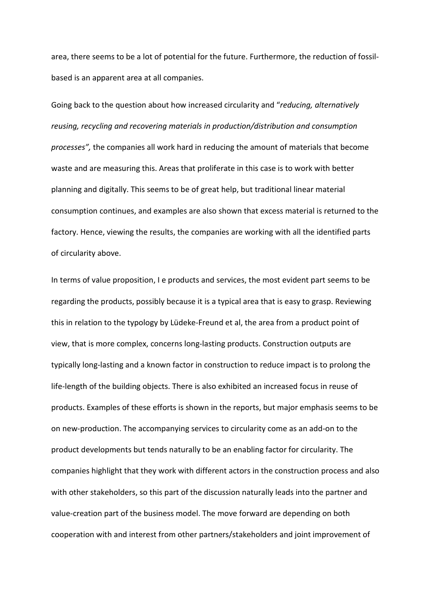area, there seems to be a lot of potential for the future. Furthermore, the reduction of fossilbased is an apparent area at all companies.

Going back to the question about how increased circularity and "*reducing, alternatively reusing, recycling and recovering materials in production/distribution and consumption processes",* the companies all work hard in reducing the amount of materials that become waste and are measuring this. Areas that proliferate in this case is to work with better planning and digitally. This seems to be of great help, but traditional linear material consumption continues, and examples are also shown that excess material is returned to the factory. Hence, viewing the results, the companies are working with all the identified parts of circularity above.

In terms of value proposition, I e products and services, the most evident part seems to be regarding the products, possibly because it is a typical area that is easy to grasp. Reviewing this in relation to the typology by Lüdeke-Freund et al, the area from a product point of view, that is more complex, concerns long-lasting products. Construction outputs are typically long-lasting and a known factor in construction to reduce impact is to prolong the life-length of the building objects. There is also exhibited an increased focus in reuse of products. Examples of these efforts is shown in the reports, but major emphasis seems to be on new-production. The accompanying services to circularity come as an add-on to the product developments but tends naturally to be an enabling factor for circularity. The companies highlight that they work with different actors in the construction process and also with other stakeholders, so this part of the discussion naturally leads into the partner and value-creation part of the business model. The move forward are depending on both cooperation with and interest from other partners/stakeholders and joint improvement of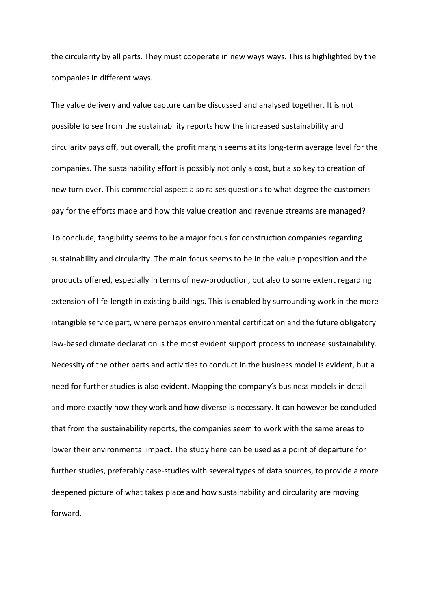the circularity by all parts. They must cooperate in new ways ways. This is highlighted by the companies in different ways.

The value delivery and value capture can be discussed and analysed together. It is not possible to see from the sustainability reports how the increased sustainability and circularity pays off, but overall, the profit margin seems at its long-term average level for the companies. The sustainability effort is possibly not only a cost, but also key to creation of new turn over. This commercial aspect also raises questions to what degree the customers pay for the efforts made and how this value creation and revenue streams are managed? To conclude, tangibility seems to be a major focus for construction companies regarding sustainability and circularity. The main focus seems to be in the value proposition and the products offered, especially in terms of new-production, but also to some extent regarding

extension of life-length in existing buildings. This is enabled by surrounding work in the more intangible service part, where perhaps environmental certification and the future obligatory law-based climate declaration is the most evident support process to increase sustainability. Necessity of the other parts and activities to conduct in the business model is evident, but a need for further studies is also evident. Mapping the company's business models in detail and more exactly how they work and how diverse is necessary. It can however be concluded that from the sustainability reports, the companies seem to work with the same areas to lower their environmental impact. The study here can be used as a point of departure for further studies, preferably case-studies with several types of data sources, to provide a more deepened picture of what takes place and how sustainability and circularity are moving forward.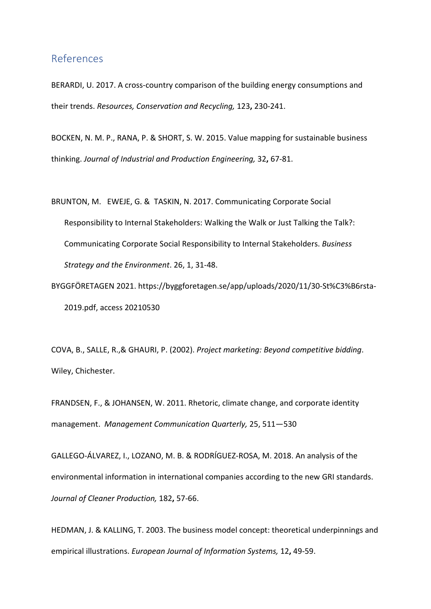## References

BERARDI, U. 2017. A cross-country comparison of the building energy consumptions and their trends. *Resources, Conservation and Recycling,* 123**,** 230-241.

BOCKEN, N. M. P., RANA, P. & SHORT, S. W. 2015. Value mapping for sustainable business thinking. *Journal of Industrial and Production Engineering,* 32**,** 67-81.

BRUNTON, M. EWEJE, G. & TASKIN, N. 2017. Communicating Corporate Social Responsibility to Internal Stakeholders: Walking the Walk or Just Talking the Talk?: Communicating Corporate Social Responsibility to Internal Stakeholders. *Business Strategy and the Environment*. 26, 1, 31-48.

BYGGFÖRETAGEN 2021. https://byggforetagen.se/app/uploads/2020/11/30-St%C3%B6rsta-2019.pdf, access 20210530

COVA, B., SALLE, R.,& GHAURI, P. (2002). *Project marketing: Beyond competitive bidding*. Wiley, Chichester.

FRANDSEN, F., & JOHANSEN, W. 2011. Rhetoric, climate change, and corporate identity management. *Management Communication Quarterly,* 25, 511—530

GALLEGO-ÁLVAREZ, I., LOZANO, M. B. & RODRÍGUEZ-ROSA, M. 2018. An analysis of the environmental information in international companies according to the new GRI standards. *Journal of Cleaner Production,* 182**,** 57-66.

HEDMAN, J. & KALLING, T. 2003. The business model concept: theoretical underpinnings and empirical illustrations. *European Journal of Information Systems,* 12**,** 49-59.